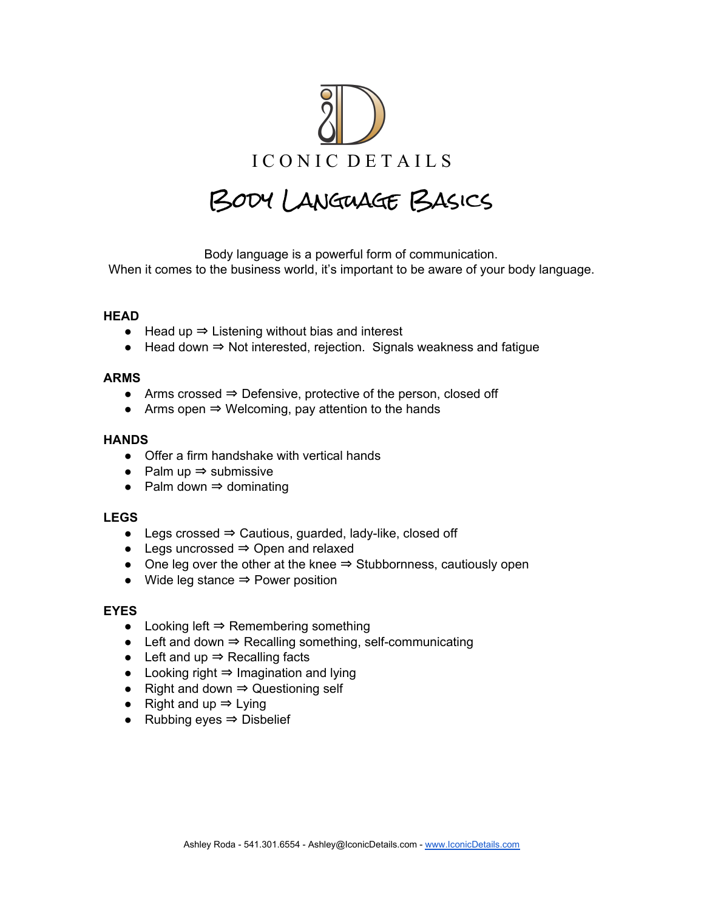

# Body Language Basics

Body language is a powerful form of communication. When it comes to the business world, it's important to be aware of your body language.

# **HEAD**

- Head up ⇒ Listening without bias and interest
- Head down ⇒ Not interested, rejection. Signals weakness and fatigue

#### **ARMS**

- Arms crossed ⇒ Defensive, protective of the person, closed off
- $\bullet$  Arms open  $\Rightarrow$  Welcoming, pay attention to the hands

#### **HANDS**

- Offer a firm handshake with vertical hands
- Palm up ⇒ submissive
- Palm down  $\Rightarrow$  dominating

# **LEGS**

- Legs crossed ⇒ Cautious, guarded, lady-like, closed off
- Legs uncrossed ⇒ Open and relaxed
- One leg over the other at the knee ⇒ Stubbornness, cautiously open
- Wide leg stance ⇒ Power position

#### **EYES**

- Looking left ⇒ Remembering something
- Left and down ⇒ Recalling something, self-communicating
- Left and up ⇒ Recalling facts
- Looking right ⇒ Imagination and lying
- Right and down ⇒ Questioning self
- Right and up ⇒ Lying
- Rubbing eyes ⇒ Disbelief